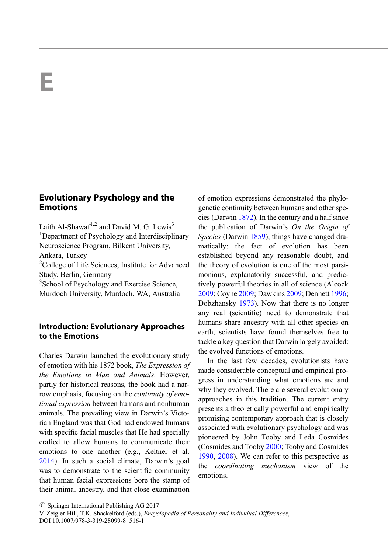# Evolutionary Psychology and the Emotions

Laith Al-Shawaf<sup>1,2</sup> and David M. G. Lewis<sup>3</sup>

<sup>1</sup>Department of Psychology and Interdisciplinary Neuroscience Program, Bilkent University,

Ankara, Turkey

<sup>2</sup>College of Life Sciences, Institute for Advanced Study, Berlin, Germany

<sup>3</sup> School of Psychology and Exercise Science, Murdoch University, Murdoch, WA, Australia

# Introduction: Evolutionary Approaches to the Emotions

Charles Darwin launched the evolutionary study of emotion with his 1872 book, The Expression of the Emotions in Man and Animals. However, partly for historical reasons, the book had a narrow emphasis, focusing on the continuity of emotional expression between humans and nonhuman animals. The prevailing view in Darwin's Victorian England was that God had endowed humans with specific facial muscles that He had specially crafted to allow humans to communicate their emotions to one another (e.g., Keltner et al. [2014\)](#page-8-0). In such a social climate, Darwin's goal was to demonstrate to the scientific community that human facial expressions bore the stamp of their animal ancestry, and that close examination

of emotion expressions demonstrated the phylogenetic continuity between humans and other species (Darwin [1872\)](#page-7-0). In the century and a half since the publication of Darwin's On the Origin of Species (Darwin [1859\)](#page-7-0), things have changed dramatically: the fact of evolution has been established beyond any reasonable doubt, and the theory of evolution is one of the most parsimonious, explanatorily successful, and predictively powerful theories in all of science (Alcock [2009;](#page-7-0) Coyne [2009;](#page-7-0) Dawkins [2009;](#page-7-0) Dennett [1996;](#page-7-0) Dobzhansky [1973](#page-7-0)). Now that there is no longer any real (scientific) need to demonstrate that humans share ancestry with all other species on earth, scientists have found themselves free to tackle a key question that Darwin largely avoided: the evolved functions of emotions.

In the last few decades, evolutionists have made considerable conceptual and empirical progress in understanding what emotions are and why they evolved. There are several evolutionary approaches in this tradition. The current entry presents a theoretically powerful and empirically promising contemporary approach that is closely associated with evolutionary psychology and was pioneered by John Tooby and Leda Cosmides (Cosmides and Tooby [2000](#page-7-0); Tooby and Cosmides [1990,](#page-9-0) [2008\)](#page-9-0). We can refer to this perspective as the coordinating mechanism view of the emotions.

 $\oslash$  Springer International Publishing AG 2017

V. Zeigler-Hill, T.K. Shackelford (eds.), Encyclopedia of Personality and Individual Differences, DOI 10.1007/978-3-319-28099-8\_516-1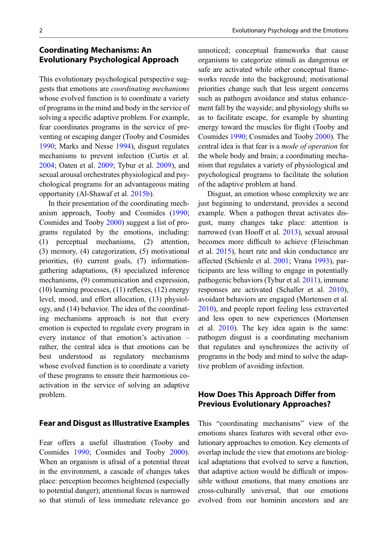## Coordinating Mechanisms: An Evolutionary Psychological Approach

This evolutionary psychological perspective suggests that emotions are coordinating mechanisms whose evolved function is to coordinate a variety of programs in the mind and body in the service of solving a specific adaptive problem. For example, fear coordinates programs in the service of preventing or escaping danger (Tooby and Cosmides [1990;](#page-9-0) Marks and Nesse [1994](#page-8-0)), disgust regulates mechanisms to prevent infection (Curtis et al. [2004;](#page-7-0) Oaten et al. [2009](#page-8-0); Tybur et al. [2009](#page-9-0)), and sexual arousal orchestrates physiological and psychological programs for an advantageous mating opportunity (Al-Shawaf et al. [2015b](#page-7-0)).

In their presentation of the coordinating mechanism approach, Tooby and Cosmides ([1990;](#page-9-0) Cosmides and Tooby [2000](#page-7-0)) suggest a list of programs regulated by the emotions, including: (1) perceptual mechanisms, (2) attention, (3) memory, (4) categorization, (5) motivational priorities, (6) current goals, (7) informationgathering adaptations, (8) specialized inference mechanisms, (9) communication and expression, (10) learning processes, (11) reflexes, (12) energy level, mood, and effort allocation, (13) physiology, and (14) behavior. The idea of the coordinating mechanisms approach is not that every emotion is expected to regulate every program in every instance of that emotion's activation – rather, the central idea is that emotions can be best understood as regulatory mechanisms whose evolved function is to coordinate a variety of these programs to ensure their harmonious coactivation in the service of solving an adaptive problem.

#### Fear and Disgust as Illustrative Examples

Fear offers a useful illustration (Tooby and Cosmides [1990;](#page-9-0) Cosmides and Tooby [2000\)](#page-7-0). When an organism is afraid of a potential threat in the environment, a cascade of changes takes place: perception becomes heightened (especially to potential danger); attentional focus is narrowed so that stimuli of less immediate relevance go

unnoticed; conceptual frameworks that cause organisms to categorize stimuli as dangerous or safe are activated while other conceptual frameworks recede into the background; motivational priorities change such that less urgent concerns such as pathogen avoidance and status enhancement fall by the wayside; and physiology shifts so as to facilitate escape, for example by shunting energy toward the muscles for flight (Tooby and Cosmides [1990](#page-9-0); Cosmides and Tooby [2000](#page-7-0)). The central idea is that fear is a mode of operation for the whole body and brain; a coordinating mechanism that regulates a variety of physiological and psychological programs to facilitate the solution of the adaptive problem at hand.

Disgust, an emotion whose complexity we are just beginning to understand, provides a second example. When a pathogen threat activates disgust, many changes take place: attention is narrowed (van Hooff et al. [2013](#page-8-0)), sexual arousal becomes more difficult to achieve (Fleischman et al. [2015](#page-8-0)), heart rate and skin conductance are affected (Schienle et al. [2001](#page-8-0); Vrana [1993\)](#page-9-0), participants are less willing to engage in potentially pathogenic behaviors (Tybur et al. [2011](#page-9-0)), immune responses are activated (Schaller et al. [2010\)](#page-8-0), avoidant behaviors are engaged (Mortensen et al. [2010\)](#page-8-0), and people report feeling less extraverted and less open to new experiences (Mortensen et al. [2010](#page-8-0)). The key idea again is the same: pathogen disgust is a coordinating mechanism that regulates and synchronizes the activity of programs in the body and mind to solve the adaptive problem of avoiding infection.

## How Does This Approach Differ from Previous Evolutionary Approaches?

This "coordinating mechanisms" view of the emotions shares features with several other evolutionary approaches to emotion. Key elements of overlap include the view that emotions are biological adaptations that evolved to serve a function, that adaptive action would be difficult or impossible without emotions, that many emotions are cross-culturally universal, that our emotions evolved from our hominin ancestors and are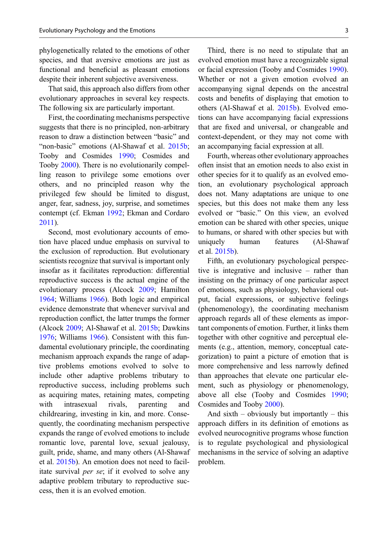phylogenetically related to the emotions of other species, and that aversive emotions are just as functional and beneficial as pleasant emotions despite their inherent subjective aversiveness.

That said, this approach also differs from other evolutionary approaches in several key respects. The following six are particularly important.

First, the coordinating mechanisms perspective suggests that there is no principled, non-arbitrary reason to draw a distinction between "basic" and "non-basic" emotions (Al-Shawaf et al. [2015b;](#page-7-0) Tooby and Cosmides [1990](#page-9-0); Cosmides and Tooby [2000](#page-7-0)). There is no evolutionarily compelling reason to privilege some emotions over others, and no principled reason why the privileged few should be limited to disgust, anger, fear, sadness, joy, surprise, and sometimes contempt (cf. Ekman [1992](#page-8-0); Ekman and Cordaro [2011\)](#page-8-0).

Second, most evolutionary accounts of emotion have placed undue emphasis on survival to the exclusion of reproduction. But evolutionary scientists recognize that survival is important only insofar as it facilitates reproduction: differential reproductive success is the actual engine of the evolutionary process (Alcock [2009;](#page-7-0) Hamilton [1964;](#page-8-0) Williams [1966](#page-9-0)). Both logic and empirical evidence demonstrate that whenever survival and reproduction conflict, the latter trumps the former (Alcock [2009;](#page-7-0) Al-Shawaf et al. [2015b;](#page-7-0) Dawkins [1976;](#page-7-0) Williams [1966\)](#page-9-0). Consistent with this fundamental evolutionary principle, the coordinating mechanism approach expands the range of adaptive problems emotions evolved to solve to include other adaptive problems tributary to reproductive success, including problems such as acquiring mates, retaining mates, competing with intrasexual rivals, parenting and childrearing, investing in kin, and more. Consequently, the coordinating mechanism perspective expands the range of evolved emotions to include romantic love, parental love, sexual jealousy, guilt, pride, shame, and many others (Al-Shawaf et al. [2015b](#page-7-0)). An emotion does not need to facilitate survival per se; if it evolved to solve any adaptive problem tributary to reproductive success, then it is an evolved emotion.

Third, there is no need to stipulate that an evolved emotion must have a recognizable signal or facial expression (Tooby and Cosmides [1990\)](#page-9-0). Whether or not a given emotion evolved an accompanying signal depends on the ancestral costs and benefits of displaying that emotion to others (Al-Shawaf et al. [2015b](#page-7-0)). Evolved emotions can have accompanying facial expressions that are fixed and universal, or changeable and context-dependent, or they may not come with an accompanying facial expression at all.

Fourth, whereas other evolutionary approaches often insist that an emotion needs to also exist in other species for it to qualify as an evolved emotion, an evolutionary psychological approach does not. Many adaptations are unique to one species, but this does not make them any less evolved or "basic." On this view, an evolved emotion can be shared with other species, unique to humans, or shared with other species but with uniquely human features (Al-Shawaf et al. [2015b\)](#page-7-0).

Fifth, an evolutionary psychological perspective is integrative and inclusive – rather than insisting on the primacy of one particular aspect of emotions, such as physiology, behavioral output, facial expressions, or subjective feelings (phenomenology), the coordinating mechanism approach regards all of these elements as important components of emotion. Further, it links them together with other cognitive and perceptual elements (e.g., attention, memory, conceptual categorization) to paint a picture of emotion that is more comprehensive and less narrowly defined than approaches that elevate one particular element, such as physiology or phenomenology, above all else (Tooby and Cosmides [1990;](#page-9-0) Cosmides and Tooby [2000](#page-7-0)).

And sixth – obviously but importantly – this approach differs in its definition of emotions as evolved neurocognitive programs whose function is to regulate psychological and physiological mechanisms in the service of solving an adaptive problem.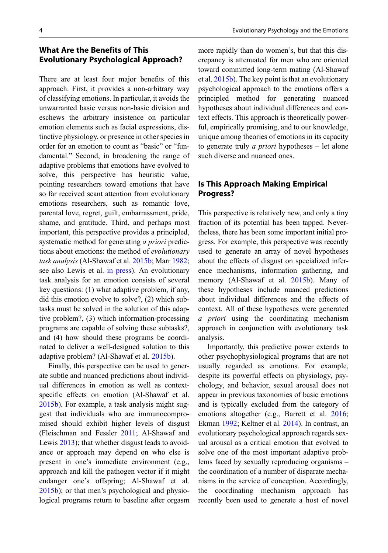## What Are the Benefits of This Evolutionary Psychological Approach?

There are at least four major benefits of this approach. First, it provides a non-arbitrary way of classifying emotions. In particular, it avoids the unwarranted basic versus non-basic division and eschews the arbitrary insistence on particular emotion elements such as facial expressions, distinctive physiology, or presence in other species in order for an emotion to count as "basic" or "fundamental." Second, in broadening the range of adaptive problems that emotions have evolved to solve, this perspective has heuristic value, pointing researchers toward emotions that have so far received scant attention from evolutionary emotions researchers, such as romantic love, parental love, regret, guilt, embarrassment, pride, shame, and gratitude. Third, and perhaps most important, this perspective provides a principled, systematic method for generating a priori predictions about emotions: the method of evolutionary task analysis (Al-Shawaf et al. [2015b](#page-7-0); Marr [1982;](#page-8-0) see also Lewis et al. [in press](#page-8-0)). An evolutionary task analysis for an emotion consists of several key questions: (1) what adaptive problem, if any, did this emotion evolve to solve?, (2) which subtasks must be solved in the solution of this adaptive problem?, (3) which information-processing programs are capable of solving these subtasks?, and (4) how should these programs be coordinated to deliver a well-designed solution to this adaptive problem? (Al-Shawaf et al. [2015b](#page-7-0)).

Finally, this perspective can be used to generate subtle and nuanced predictions about individual differences in emotion as well as contextspecific effects on emotion (Al-Shawaf et al. [2015b\)](#page-7-0). For example, a task analysis might suggest that individuals who are immunocompromised should exhibit higher levels of disgust (Fleischman and Fessler [2011;](#page-8-0) Al-Shawaf and Lewis [2013\)](#page-7-0); that whether disgust leads to avoidance or approach may depend on who else is present in one's immediate environment (e.g., approach and kill the pathogen vector if it might endanger one's offspring; Al-Shawaf et al. [2015b\)](#page-7-0); or that men's psychological and physiological programs return to baseline after orgasm

more rapidly than do women's, but that this discrepancy is attenuated for men who are oriented toward committed long-term mating (Al-Shawaf et al. [2015b](#page-7-0)). The key point is that an evolutionary psychological approach to the emotions offers a principled method for generating nuanced hypotheses about individual differences and context effects. This approach is theoretically powerful, empirically promising, and to our knowledge, unique among theories of emotions in its capacity to generate truly *a priori* hypotheses  $-$  let alone such diverse and nuanced ones.

## Is This Approach Making Empirical Progress?

This perspective is relatively new, and only a tiny fraction of its potential has been tapped. Nevertheless, there has been some important initial progress. For example, this perspective was recently used to generate an array of novel hypotheses about the effects of disgust on specialized inference mechanisms, information gathering, and memory (Al-Shawaf et al. [2015b\)](#page-7-0). Many of these hypotheses include nuanced predictions about individual differences and the effects of context. All of these hypotheses were generated a priori using the coordinating mechanism approach in conjunction with evolutionary task analysis.

Importantly, this predictive power extends to other psychophysiological programs that are not usually regarded as emotions. For example, despite its powerful effects on physiology, psychology, and behavior, sexual arousal does not appear in previous taxonomies of basic emotions and is typically excluded from the category of emotions altogether (e.g., Barrett et al. [2016;](#page-7-0) Ekman [1992;](#page-8-0) Keltner et al. [2014](#page-8-0)). In contrast, an evolutionary psychological approach regards sexual arousal as a critical emotion that evolved to solve one of the most important adaptive problems faced by sexually reproducing organisms – the coordination of a number of disparate mechanisms in the service of conception. Accordingly, the coordinating mechanism approach has recently been used to generate a host of novel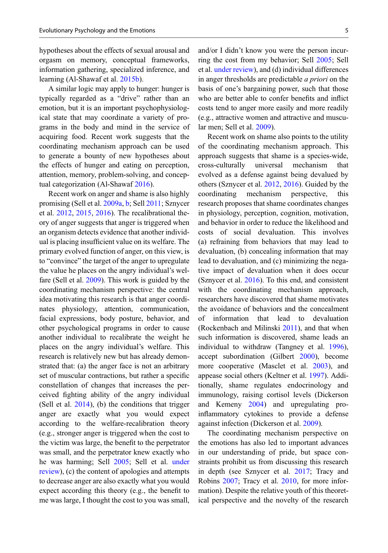hypotheses about the effects of sexual arousal and orgasm on memory, conceptual frameworks, information gathering, specialized inference, and learning (Al-Shawaf et al. [2015b](#page-7-0)).

A similar logic may apply to hunger: hunger is typically regarded as a "drive" rather than an emotion, but it is an important psychophysiological state that may coordinate a variety of programs in the body and mind in the service of acquiring food. Recent work suggests that the coordinating mechanism approach can be used to generate a bounty of new hypotheses about the effects of hunger and eating on perception, attention, memory, problem-solving, and conceptual categorization (Al-Shawaf [2016](#page-7-0)).

Recent work on anger and shame is also highly promising (Sell et al. [2009a,](#page-8-0) [b](#page-8-0); Sell [2011](#page-8-0); Sznycer et al. [2012,](#page-8-0) [2015](#page-8-0), [2016\)](#page-8-0). The recalibrational theory of anger suggests that anger is triggered when an organism detects evidence that another individual is placing insufficient value on its welfare. The primary evolved function of anger, on this view, is to "convince" the target of the anger to upregulate the value he places on the angry individual's welfare (Sell et al. [2009\)](#page-8-0). This work is guided by the coordinating mechanism perspective: the central idea motivating this research is that anger coordinates physiology, attention, communication, facial expressions, body posture, behavior, and other psychological programs in order to cause another individual to recalibrate the weight he places on the angry individual's welfare. This research is relatively new but has already demonstrated that: (a) the anger face is not an arbitrary set of muscular contractions, but rather a specific constellation of changes that increases the perceived fighting ability of the angry individual (Sell et al.  $2014$ ), (b) the conditions that trigger anger are exactly what you would expect according to the welfare-recalibration theory (e.g., stronger anger is triggered when the cost to the victim was large, the benefit to the perpetrator was small, and the perpetrator knew exactly who he was harming; Sell [2005](#page-8-0); Sell et al. [under](#page-8-0) [review\)](#page-8-0), (c) the content of apologies and attempts to decrease anger are also exactly what you would expect according this theory (e.g., the benefit to me was large, I thought the cost to you was small,

and/or I didn't know you were the person incurring the cost from my behavior; Sell [2005;](#page-8-0) Sell et al. [under review](#page-8-0)), and (d) individual differences in anger thresholds are predictable a priori on the basis of one's bargaining power, such that those who are better able to confer benefits and inflict costs tend to anger more easily and more readily (e.g., attractive women and attractive and muscular men; Sell et al. [2009\)](#page-8-0).

Recent work on shame also points to the utility of the coordinating mechanism approach. This approach suggests that shame is a species-wide, cross-culturally universal mechanism that evolved as a defense against being devalued by others (Sznycer et al. [2012,](#page-8-0) [2016\)](#page-8-0). Guided by the coordinating mechanism perspective, this research proposes that shame coordinates changes in physiology, perception, cognition, motivation, and behavior in order to reduce the likelihood and costs of social devaluation. This involves (a) refraining from behaviors that may lead to devaluation, (b) concealing information that may lead to devaluation, and (c) minimizing the negative impact of devaluation when it does occur (Sznycer et al. [2016](#page-8-0)). To this end, and consistent with the coordinating mechanism approach, researchers have discovered that shame motivates the avoidance of behaviors and the concealment of information that lead to devaluation (Rockenbach and Milinski [2011](#page-8-0)), and that when such information is discovered, shame leads an individual to withdraw (Tangney et al. [1996\)](#page-9-0), accept subordination (Gilbert [2000\)](#page-8-0), become more cooperative (Masclet et al. [2003](#page-8-0)), and appease social others (Keltner et al. [1997](#page-8-0)). Additionally, shame regulates endocrinology and immunology, raising cortisol levels (Dickerson and Kemeny [2004](#page-7-0)) and upregulating proinflammatory cytokines to provide a defense against infection (Dickerson et al. [2009](#page-7-0)).

The coordinating mechanism perspective on the emotions has also led to important advances in our understanding of pride, but space constraints prohibit us from discussing this research in depth (see Sznycer et al. [2017](#page-9-0); Tracy and Robins [2007;](#page-9-0) Tracy et al. [2010](#page-9-0), for more information). Despite the relative youth of this theoretical perspective and the novelty of the research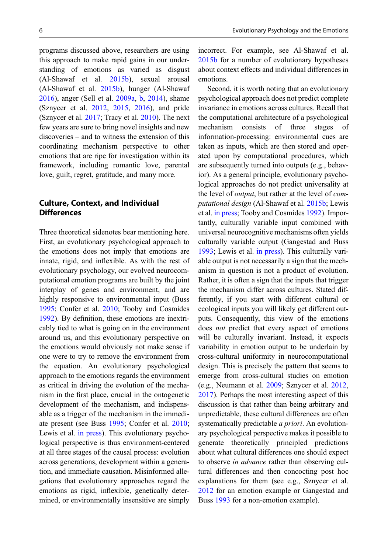this approach to make rapid gains in our understanding of emotions as varied as disgust (Al-Shawaf et al. [2015b\)](#page-7-0), sexual arousal (Al-Shawaf et al. [2015b\)](#page-7-0), hunger (Al-Shawaf [2016\)](#page-7-0), anger (Sell et al. [2009a](#page-8-0), [b](#page-8-0), [2014](#page-8-0)), shame (Sznycer et al. [2012](#page-8-0), [2015](#page-8-0), [2016](#page-8-0)), and pride (Sznycer et al. [2017;](#page-9-0) Tracy et al. [2010](#page-9-0)). The next few years are sure to bring novel insights and new discoveries – and to witness the extension of this coordinating mechanism perspective to other emotions that are ripe for investigation within its framework, including romantic love, parental love, guilt, regret, gratitude, and many more.

## Culture, Context, and Individual **Differences**

Three theoretical sidenotes bear mentioning here. First, an evolutionary psychological approach to the emotions does not imply that emotions are innate, rigid, and inflexible. As with the rest of evolutionary psychology, our evolved neurocomputational emotion programs are built by the joint interplay of genes and environment, and are highly responsive to environmental input (Buss [1995;](#page-7-0) Confer et al. [2010](#page-7-0); Tooby and Cosmides [1992\)](#page-9-0). By definition, these emotions are inextricably tied to what is going on in the environment around us, and this evolutionary perspective on the emotions would obviously not make sense if one were to try to remove the environment from the equation. An evolutionary psychological approach to the emotions regards the environment as critical in driving the evolution of the mechanism in the first place, crucial in the ontogenetic development of the mechanism, and indispensable as a trigger of the mechanism in the immediate present (see Buss [1995;](#page-7-0) Confer et al. [2010;](#page-7-0) Lewis et al. [in press](#page-8-0)). This evolutionary psychological perspective is thus environment-centered at all three stages of the causal process: evolution across generations, development within a generation, and immediate causation. Misinformed allegations that evolutionary approaches regard the emotions as rigid, inflexible, genetically determined, or environmentally insensitive are simply

incorrect. For example, see Al-Shawaf et al. [2015b](#page-7-0) for a number of evolutionary hypotheses about context effects and individual differences in emotions.

Second, it is worth noting that an evolutionary psychological approach does not predict complete invariance in emotions across cultures. Recall that the computational architecture of a psychological mechanism consists of three stages of information-processing: environmental cues are taken as inputs, which are then stored and operated upon by computational procedures, which are subsequently turned into outputs (e.g., behavior). As a general principle, evolutionary psychological approaches do not predict universality at the level of *output*, but rather at the level of *com*putational design (Al-Shawaf et al. [2015b](#page-7-0); Lewis et al. [in press;](#page-8-0) Tooby and Cosmides [1992\)](#page-9-0). Importantly, culturally variable input combined with universal neurocognitive mechanisms often yields culturally variable output (Gangestad and Buss [1993;](#page-8-0) Lewis et al. [in press\)](#page-8-0). This culturally variable output is not necessarily a sign that the mechanism in question is not a product of evolution. Rather, it is often a sign that the inputs that trigger the mechanism differ across cultures. Stated differently, if you start with different cultural or ecological inputs you will likely get different outputs. Consequently, this view of the emotions does *not* predict that every aspect of emotions will be culturally invariant. Instead, it expects variability in emotion output to be underlain by cross-cultural uniformity in neurocomputational design. This is precisely the pattern that seems to emerge from cross-cultural studies on emotion (e.g., Neumann et al. [2009;](#page-8-0) Sznycer et al. [2012](#page-8-0), [2017\)](#page-9-0). Perhaps the most interesting aspect of this discussion is that rather than being arbitrary and unpredictable, these cultural differences are often systematically predictable *a priori*. An evolutionary psychological perspective makes it possible to generate theoretically principled predictions about what cultural differences one should expect to observe in advance rather than observing cultural differences and then concocting post hoc explanations for them (see e.g., Sznycer et al. [2012](#page-8-0) for an emotion example or Gangestad and Buss [1993](#page-8-0) for a non-emotion example).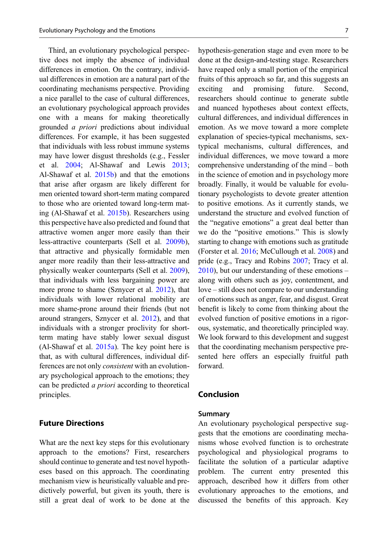Third, an evolutionary psychological perspective does not imply the absence of individual differences in emotion. On the contrary, individual differences in emotion are a natural part of the coordinating mechanisms perspective. Providing a nice parallel to the case of cultural differences, an evolutionary psychological approach provides one with a means for making theoretically grounded a priori predictions about individual differences. For example, it has been suggested that individuals with less robust immune systems may have lower disgust thresholds (e.g., Fessler et al. [2004](#page-8-0); Al-Shawaf and Lewis [2013;](#page-7-0) Al-Shawaf et al. [2015b](#page-7-0)) and that the emotions that arise after orgasm are likely different for men oriented toward short-term mating compared to those who are oriented toward long-term mating (Al-Shawaf et al. [2015b\)](#page-7-0). Researchers using this perspective have also predicted and found that attractive women anger more easily than their less-attractive counterparts (Sell et al. [2009b\)](#page-8-0), that attractive and physically formidable men anger more readily than their less-attractive and physically weaker counterparts (Sell et al. [2009\)](#page-8-0), that individuals with less bargaining power are more prone to shame (Sznycer et al. [2012\)](#page-8-0), that individuals with lower relational mobility are more shame-prone around their friends (but not around strangers, Sznycer et al. [2012](#page-8-0)), and that individuals with a stronger proclivity for shortterm mating have stably lower sexual disgust (Al-Shawaf et al. [2015a\)](#page-7-0). The key point here is that, as with cultural differences, individual differences are not only consistent with an evolutionary psychological approach to the emotions; they can be predicted a priori according to theoretical principles.

## Future Directions

What are the next key steps for this evolutionary approach to the emotions? First, researchers should continue to generate and test novel hypotheses based on this approach. The coordinating mechanism view is heuristically valuable and predictively powerful, but given its youth, there is still a great deal of work to be done at the hypothesis-generation stage and even more to be done at the design-and-testing stage. Researchers have reaped only a small portion of the empirical fruits of this approach so far, and this suggests an exciting and promising future. Second, researchers should continue to generate subtle and nuanced hypotheses about context effects, cultural differences, and individual differences in emotion. As we move toward a more complete explanation of species-typical mechanisms, sextypical mechanisms, cultural differences, and individual differences, we move toward a more comprehensive understanding of the mind – both in the science of emotion and in psychology more broadly. Finally, it would be valuable for evolutionary psychologists to devote greater attention to positive emotions. As it currently stands, we understand the structure and evolved function of the "negative emotions" a great deal better than we do the "positive emotions." This is slowly starting to change with emotions such as gratitude (Forster et al. [2016](#page-8-0); McCullough et al. [2008](#page-8-0)) and pride (e.g., Tracy and Robins [2007;](#page-9-0) Tracy et al. [2010\)](#page-9-0), but our understanding of these emotions – along with others such as joy, contentment, and love – still does not compare to our understanding of emotions such as anger, fear, and disgust. Great benefit is likely to come from thinking about the evolved function of positive emotions in a rigorous, systematic, and theoretically principled way. We look forward to this development and suggest that the coordinating mechanism perspective presented here offers an especially fruitful path

#### Conclusion

#### Summary

forward.

An evolutionary psychological perspective suggests that the emotions are coordinating mechanisms whose evolved function is to orchestrate psychological and physiological programs to facilitate the solution of a particular adaptive problem. The current entry presented this approach, described how it differs from other evolutionary approaches to the emotions, and discussed the benefits of this approach. Key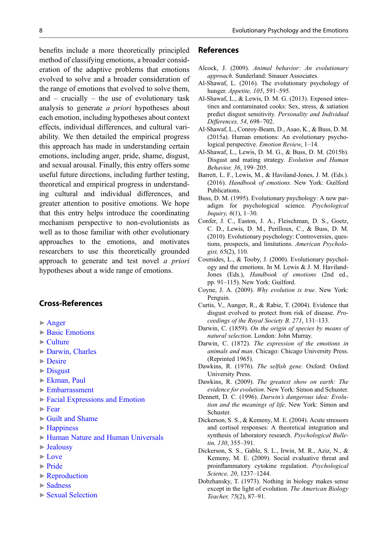<span id="page-7-0"></span>benefits include a more theoretically principled method of classifying emotions, a broader consideration of the adaptive problems that emotions evolved to solve and a broader consideration of the range of emotions that evolved to solve them, and – crucially – the use of evolutionary task analysis to generate a priori hypotheses about each emotion, including hypotheses about context effects, individual differences, and cultural variability. We then detailed the empirical progress this approach has made in understanding certain emotions, including anger, pride, shame, disgust,

and sexual arousal. Finally, this entry offers some useful future directions, including further testing, theoretical and empirical progress in understanding cultural and individual differences, and greater attention to positive emotions. We hope that this entry helps introduce the coordinating mechanism perspective to non-evolutionists as well as to those familiar with other evolutionary approaches to the emotions, and motivates researchers to use this theoretically grounded approach to generate and test novel a priori hypotheses about a wide range of emotions.

### Cross-References

- ▶ [Anger](http://link.springer.com/Anger)
- ▶ [Basic Emotions](http://link.springer.com/Basic Emotions)
- $\blacktriangleright$  [Culture](http://link.springer.com/Culture)
- ▶ [Darwin, Charles](http://link.springer.com/Darwin, Charles)
- ▶ [Desire](http://link.springer.com/Desire)
- $\triangleright$  [Disgust](http://link.springer.com/Disgust)
- ▶ [Ekman, Paul](http://link.springer.com/Ekman, Paul)
- ▶ [Embarrassment](http://link.springer.com/Embarrassment)
- ▶ [Facial Expressions and Emotion](http://link.springer.com/Facial Expressions and Emotion)
- $\blacktriangleright$  [Fear](http://link.springer.com/Fear)
- ▶ [Guilt and Shame](http://link.springer.com/Guilt and Shame)
- $\blacktriangleright$  [Happiness](http://link.springer.com/Happiness)
- ▶ [Human Nature and Human Universals](http://link.springer.com/Human Nature and Human Universals)
- $\blacktriangleright$  [Jealousy](http://link.springer.com/Jealousy)
- ▶ [Love](http://link.springer.com/Love)
- $\blacktriangleright$  [Pride](http://link.springer.com/Pride)
- ▶ [Reproduction](http://link.springer.com/Reproduction)
- ▶ [Sadness](http://link.springer.com/Sadness)
- ▶ [Sexual Selection](http://link.springer.com/Sexual Selection)

### References

- Alcock, J. (2009). Animal behavior: An evolutionary approach. Sunderland: Sinauer Associates.
- Al-Shawaf, L. (2016). The evolutionary psychology of hunger. Appetite, 105, 591–595.
- Al-Shawaf, L., & Lewis, D. M. G. (2013). Exposed intestines and contaminated cooks: Sex, stress, & satiation predict disgust sensitivity. Personality and Individual Differences, 54, 698–702.
- Al-Shawaf, L., Conroy-Beam, D., Asao, K., & Buss, D. M. (2015a). Human emotions: An evolutionary psychological perspective. *Emotion Review*, 1–14.
- Al-Shawaf, L., Lewis, D. M. G., & Buss, D. M. (2015b). Disgust and mating strategy. Evolution and Human Behavior, 36, 199–205.
- Barrett, L. F., Lewis, M., & Haviland-Jones, J. M. (Eds.). (2016). Handbook of emotions. New York: Guilford Publications.
- Buss, D. M. (1995). Evolutionary psychology: A new paradigm for psychological science. Psychological Inquiry, 6(1), 1–30.
- Confer, J. C., Easton, J. A., Fleischman, D. S., Goetz, C. D., Lewis, D. M., Perilloux, C., & Buss, D. M. (2010). Evolutionary psychology: Controversies, questions, prospects, and limitations. American Psychologist, 65(2), 110.
- Cosmides, L., & Tooby, J. (2000). Evolutionary psychology and the emotions. In M. Lewis & J. M. Haviland-Jones (Eds.), Handbook of emotions (2nd ed., pp. 91–115). New York: Guilford.
- Coyne, J. A. (2009). Why evolution is true. New York: Penguin.
- Curtis, V., Aunger, R., & Rabie, T. (2004). Evidence that disgust evolved to protect from risk of disease. Proceedings of the Royal Society B, 271, 131–133.
- Darwin, C. (1859). On the origin of species by means of natural selection. London: John Murray.
- Darwin, C. (1872). The expression of the emotions in animals and man. Chicago: Chicago University Press. (Reprinted 1965).
- Dawkins, R. (1976). The selfish gene. Oxford: Oxford University Press.
- Dawkins, R. (2009). The greatest show on earth: The evidence for evolution. New York: Simon and Schuster.
- Dennett, D. C. (1996). Darwin's dangerous idea: Evolution and the meanings of life. New York: Simon and Schuster.
- Dickerson, S. S., & Kemeny, M. E. (2004). Acute stressors and cortisol responses: A theoretical integration and synthesis of laboratory research. Psychological Bulletin, 130, 355–391.
- Dickerson, S. S., Gable, S. L., Irwin, M. R., Aziz, N., & Kemeny, M. E. (2009). Social evaluative threat and proinflammatory cytokine regulation. Psychological Science, 20, 1237–1244.
- Dobzhansky, T. (1973). Nothing in biology makes sense except in the light of evolution. The American Biology Teacher, 75(2), 87–91.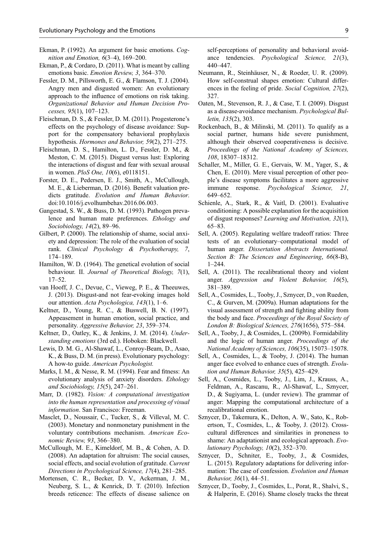- <span id="page-8-0"></span>Ekman, P. (1992). An argument for basic emotions. Cognition and Emotion, 6(3–4), 169–200.
- Ekman, P., & Cordaro, D. (2011). What is meant by calling emotions basic. Emotion Review, 3, 364–370.
- Fessler, D. M., Pillsworth, E. G., & Flamson, T. J. (2004). Angry men and disgusted women: An evolutionary approach to the influence of emotions on risk taking. Organizational Behavior and Human Decision Processes, 95(1), 107–123.
- Fleischman, D. S., & Fessler, D. M. (2011). Progesterone's effects on the psychology of disease avoidance: Support for the compensatory behavioral prophylaxis hypothesis. Hormones and Behavior, 59(2), 271–275.
- Fleischman, D. S., Hamilton, L. D., Fessler, D. M., & Meston, C. M. (2015). Disgust versus lust: Exploring the interactions of disgust and fear with sexual arousal in women. PloS One, 10(6), e0118151.
- Forster, D. E., Pedersen, E. J., Smith, A., McCullough, M. E., & Lieberman, D. (2016). Benefit valuation predicts gratitude. Evolution and Human Behavior. doi:10.1016/j.evolhumbehav.2016.06.003.
- Gangestad, S. W., & Buss, D. M. (1993). Pathogen prevalence and human mate preferences. *Ethology and* Sociobiology, 14(2), 89–96.
- Gilbert, P. (2000). The relationship of shame, social anxiety and depression: The role of the evaluation of social rank. Clinical Psychology & Psychotherapy, 7, 174–189.
- Hamilton, W. D. (1964). The genetical evolution of social behaviour. II. Journal of Theoretical Biology, 7(1), 17–52.
- van Hooff, J. C., Devue, C., Vieweg, P. E., & Theeuwes, J. (2013). Disgust-and not fear-evoking images hold our attention. Acta Psychologica, 143(1), 1–6.
- Keltner, D., Young, R. C., & Buswell, B. N. (1997). Appeasement in human emotion, social practice, and personality. Aggressive Behavior, 23, 359–374.
- Keltner, D., Oatley, K., & Jenkins, J. M. (2014). Understanding emotions (3rd ed.). Hoboken: Blackwell.
- Lewis, D. M. G., Al-Shawaf, L., Conroy-Beam, D., Asao, K., & Buss, D. M. (in press). Evolutionary psychology: A how-to guide. American Psychologist.
- Marks, I. M., & Nesse, R. M. (1994). Fear and fitness: An evolutionary analysis of anxiety disorders. Ethology and Sociobiology, 15(5), 247–261.
- Marr, D. (1982). Vision: A computational investigation into the human representation and processing of visual information. San Francisco: Freeman.
- Masclet, D., Noussair, C., Tucker, S., & Villeval, M. C. (2003). Monetary and nonmonetary punishment in the voluntary contributions mechanism. American Economic Review, 93, 366–380.
- McCullough, M. E., Kimeldorf, M. B., & Cohen, A. D. (2008). An adaptation for altruism: The social causes, social effects, and social evolution of gratitude. Current Directions in Psychological Science, 17(4), 281–285.
- Mortensen, C. R., Becker, D. V., Ackerman, J. M., Neuberg, S. L., & Kenrick, D. T. (2010). Infection breeds reticence: The effects of disease salience on

self-perceptions of personality and behavioral avoidance tendencies. Psychological Science, 21(3), 440–447.

- Neumann, R., Steinhäuser, N., & Roeder, U. R. (2009). How self-construal shapes emotion: Cultural differences in the feeling of pride. Social Cognition, 27(2), 327.
- Oaten, M., Stevenson, R. J., & Case, T. I. (2009). Disgust as a disease-avoidance mechanism. Psychological Bulletin, 135(2), 303.
- Rockenbach, B., & Milinski, M. (2011). To qualify as a social partner, humans hide severe punishment, although their observed cooperativeness is decisive. Proceedings of the National Academy of Sciences, 108, 18307–18312.
- Schaller, M., Miller, G. E., Gervais, W. M., Yager, S., & Chen, E. (2010). Mere visual perception of other people's disease symptoms facilitates a more aggressive immune response. Psychological Science, 21, 649–652.
- Schienle, A., Stark, R., & Vaitl, D. (2001). Evaluative conditioning: A possible explanation for the acquisition of disgust responses? Learning and Motivation, 32(1), 65–83.
- Sell, A. (2005). Regulating welfare tradeoff ratios: Three tests of an evolutionary–computational model of human anger. Dissertation Abstracts International. Section B: The Sciences and Engineering, 66(8-B), 1–244.
- Sell, A. (2011). The recalibrational theory and violent anger. Aggression and Violent Behavior, 16(5), 381–389.
- Sell, A., Cosmides, L., Tooby, J., Sznycer, D., von Rueden, C., & Gurven, M. (2009a). Human adaptations for the visual assessment of strength and fighting ability from the body and face. Proceedings of the Royal Society of London B: Biological Sciences, 276(1656), 575–584.
- Sell, A., Tooby, J., & Cosmides, L. (2009b). Formidability and the logic of human anger. Proceedings of the National Academy of Sciences, 106(35), 15073–15078.
- Sell, A., Cosmides, L., & Tooby, J. (2014). The human anger face evolved to enhance cues of strength. Evolution and Human Behavior, 35(5), 425–429.
- Sell, A., Cosmides, L., Tooby, J., Lim, J., Krauss, A., Feldman, A., Rascanu, R., Al-Shawaf, L., Sznycer, D., & Sugiyama, L. (under review). The grammar of anger: Mapping the computational architecture of a recalibrational emotion.
- Sznycer, D., Takemura, K., Delton, A. W., Sato, K., Robertson, T., Cosmides, L., & Tooby, J. (2012). Crosscultural differences and similarities in proneness to shame: An adaptationist and ecological approach. Evolutionary Psychology, 10(2), 352–370.
- Sznycer, D., Schniter, E., Tooby, J., & Cosmides, L. (2015). Regulatory adaptations for delivering information: The case of confession. Evolution and Human Behavior, 36(1), 44–51.
- Sznycer, D., Tooby, J., Cosmides, L., Porat, R., Shalvi, S., & Halperin, E. (2016). Shame closely tracks the threat